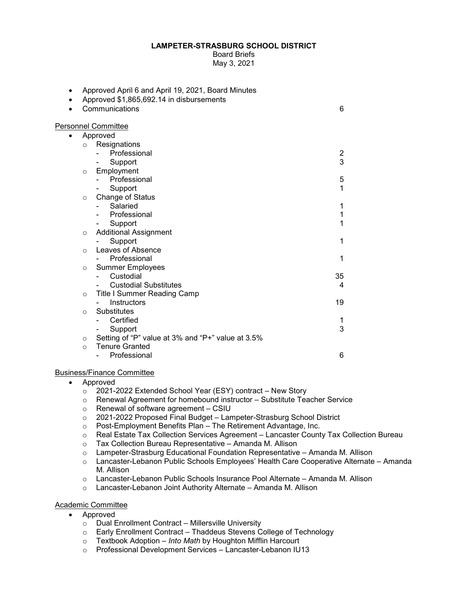## **LAMPETER-STRASBURG SCHOOL DISTRICT**

Board Briefs May 3, 2021

| ٠         | Approved April 6 and April 19, 2021, Board Minutes<br>Approved \$1,865,692.14 in disbursements |    |
|-----------|------------------------------------------------------------------------------------------------|----|
|           | Communications                                                                                 | 6  |
|           | <b>Personnel Committee</b>                                                                     |    |
| $\bullet$ | Approved                                                                                       |    |
|           | Resignations<br>$\circ$                                                                        |    |
|           | Professional                                                                                   | 2  |
|           | Support                                                                                        | 3  |
|           | Employment<br>$\circ$                                                                          |    |
|           | Professional                                                                                   | 5  |
|           | Support                                                                                        | 1  |
|           | <b>Change of Status</b><br>$\circ$                                                             |    |
|           | Salaried                                                                                       | 1  |
|           | Professional                                                                                   | 1  |
|           | Support                                                                                        | 1  |
|           | <b>Additional Assignment</b><br>$\circ$                                                        |    |
|           | Support                                                                                        | 1  |
|           | Leaves of Absence<br>$\circ$                                                                   |    |
|           | Professional                                                                                   | 1  |
|           | <b>Summer Employees</b><br>$\circ$                                                             |    |
|           | Custodial                                                                                      | 35 |
|           | <b>Custodial Substitutes</b>                                                                   | 4  |
|           | Title I Summer Reading Camp<br>$\circ$                                                         |    |
|           | Instructors                                                                                    | 19 |
|           | Substitutes<br>$\circ$                                                                         |    |
|           | Certified                                                                                      |    |
|           | Support                                                                                        | 3  |
|           | Setting of "P" value at 3% and "P+" value at 3.5%<br>$\circ$                                   |    |
|           | <b>Tenure Granted</b><br>$\Omega$                                                              |    |
|           | Professional                                                                                   | 6  |

## Business/Finance Committee

- Approved
	- o 2021-2022 Extended School Year (ESY) contract New Story
	- o Renewal Agreement for homebound instructor Substitute Teacher Service
	- o Renewal of software agreement CSIU
	- $\degree$  2021-2022 Proposed Final Budget Lampeter-Strasburg School District
	- o Post-Employment Benefits Plan The Retirement Advantage, Inc.<br>○ Real Estate Tax Collection Services Agreement Lancaster Count
	- Real Estate Tax Collection Services Agreement Lancaster County Tax Collection Bureau
	- o Tax Collection Bureau Representative Amanda M. Allison
	- $\circ$  Lampeter-Strasburg Educational Foundation Representative Amanda M. Allison
	- o Lancaster-Lebanon Public Schools Employees' Health Care Cooperative Alternate Amanda M. Allison
	- o Lancaster-Lebanon Public Schools Insurance Pool Alternate Amanda M. Allison
	- o Lancaster-Lebanon Joint Authority Alternate Amanda M. Allison

## Academic Committee

- Approved
	- o Dual Enrollment Contract Millersville University
	- o Early Enrollment Contract Thaddeus Stevens College of Technology
	- o Textbook Adoption *Into Math* by Houghton Mifflin Harcourt
	- o Professional Development Services Lancaster-Lebanon IU13